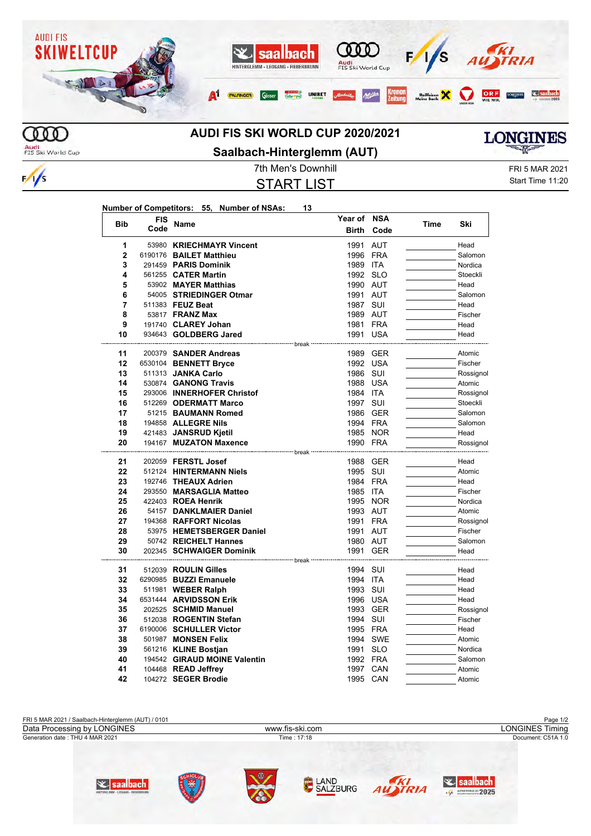

## **AUDI FIS SKI WORLD CUP 2020/2021**

Audi<br>FIS Ski World Cup

 $\frac{1}{s}$ 

**Saalbach-Hinterglemm (AUT)**

START LIST

**Year of NSA**

7th Men's Downhill **FRI 5 MAR 2021** Start Time 11:20

**LONGINES** 

|  | <b>Bib</b>     | <b>FIS</b><br>Code | Name                         | Year of           | <b>NSA</b><br>Code | Time | Ski       |
|--|----------------|--------------------|------------------------------|-------------------|--------------------|------|-----------|
|  |                |                    |                              | <b>Birth</b>      |                    |      |           |
|  | 1              |                    | 53980 KRIECHMAYR Vincent     | 1991              | <b>AUT</b>         |      | Head      |
|  | $\mathbf{2}$   |                    | 6190176 BAILET Matthieu      | 1996              | FRA                |      | Salomon   |
|  | 3              |                    | 291459 PARIS Dominik         | 1989 ITA          |                    |      | Nordica   |
|  | 4              |                    | 561255 CATER Martin          | 1992 SLO          |                    |      | Stoeckli  |
|  | 5              |                    | 53902 MAYER Matthias         | 1990 AUT          |                    |      | Head      |
|  | 6              |                    | 54005 STRIEDINGER Otmar      | 1991 AUT          |                    |      | Salomon   |
|  | $\overline{7}$ |                    | 511383 FEUZ Beat             | 1987 SUI          |                    |      | Head      |
|  | 8              |                    | 53817 FRANZ Max              | 1989 AUT          |                    |      | Fischer   |
|  | 9              |                    | 191740 CLAREY Johan          | 1981 FRA          |                    |      | Head      |
|  | 10             |                    | 934643 GOLDBERG Jared        | 1991 USA          |                    |      | Head      |
|  |                |                    |                              |                   |                    |      |           |
|  | 11             |                    | 200379 SANDER Andreas        |                   | 1989 GER           |      | Atomic    |
|  | 12             |                    | 6530104 BENNETT Bryce        | 1992 USA          |                    |      | Fischer   |
|  | 13             |                    | 511313 JANKA Carlo           | 1986              | SUI                |      | Rossignol |
|  | 14             |                    | 530874 GANONG Travis         | 1988 USA          |                    |      | Atomic    |
|  | 15             |                    | 293006 INNERHOFER Christof   | 1984 ITA          |                    |      | Rossignol |
|  | 16             |                    | 512269 ODERMATT Marco        | 1997 SUI          |                    |      | Stoeckli  |
|  | 17             |                    | 51215 BAUMANN Romed          |                   | 1986 GER           |      | Salomon   |
|  | 18             |                    | 194858 ALLEGRE Nils          | 1994 FRA          |                    |      | Salomon   |
|  | 19             |                    | 421483 JANSRUD Kjetil        |                   | 1985 NOR           |      | Head      |
|  | 20             |                    | 194167 MUZATON Maxence       | 1990 FRA<br>break |                    |      | Rossignol |
|  | 21             |                    | 202059 <b>FERSTL Josef</b>   |                   | 1988 GER           |      | Head      |
|  | 22             |                    | 512124 HINTERMANN Niels      | 1995 SUI          |                    |      | Atomic    |
|  | 23             |                    | 192746 THEAUX Adrien         | 1984 FRA          |                    |      | Head      |
|  | 24             |                    | 293550 MARSAGLIA Matteo      | 1985 ITA          |                    |      | Fischer   |
|  | 25             |                    | 422403 ROEA Henrik           |                   | 1995 NOR           |      | Nordica   |
|  | 26             |                    | 54157 DANKLMAIER Daniel      | 1993 AUT          |                    |      | Atomic    |
|  | 27             |                    | 194368 RAFFORT Nicolas       | 1991 FRA          |                    |      | Rossignol |
|  | 28             |                    | 53975 HEMETSBERGER Daniel    | 1991 AUT          |                    |      | Fischer   |
|  | 29             |                    | 50742 REICHELT Hannes        | 1980 AUT          |                    |      | Salomon   |
|  | 30             |                    | 202345 SCHWAIGER Dominik     | 1991              | <b>GER</b>         |      | Head      |
|  |                |                    | ------------- break          |                   |                    |      |           |
|  | 31             |                    | 512039 ROULIN Gilles         | 1994 SUI          |                    |      | Head      |
|  | 32             |                    | 6290985 BUZZI Emanuele       | 1994 ITA          |                    |      | Head      |
|  | 33             |                    | 511981 WEBER Ralph           | 1993 SUI          |                    |      | Head      |
|  | 34             |                    | 6531444 ARVIDSSON Erik       |                   | 1996 USA           |      | Head      |
|  | 35             |                    | 202525 SCHMID Manuel         |                   | 1993 GER           |      | Rossignol |
|  | 36             |                    | 512038 ROGENTIN Stefan       | 1994 SUI          |                    |      | Fischer   |
|  | 37             |                    | 6190006 SCHULLER Victor      | 1995 FRA          |                    |      | Head      |
|  | 38             |                    | 501987 MONSEN Felix          |                   | 1994 SWE           |      | Atomic    |
|  | 39             |                    | 561216 KLINE Bostjan         | 1991 SLO          |                    |      | Nordica   |
|  | 40             |                    | 194542 GIRAUD MOINE Valentin | 1992 FRA          |                    |      | Salomon   |
|  | 41             |                    | 104468 READ Jeffrey          | 1997 CAN          |                    |      | Atomic    |
|  | 42             |                    | 104272 SEGER Brodie          | 1995 CAN          |                    |      | Atomic    |